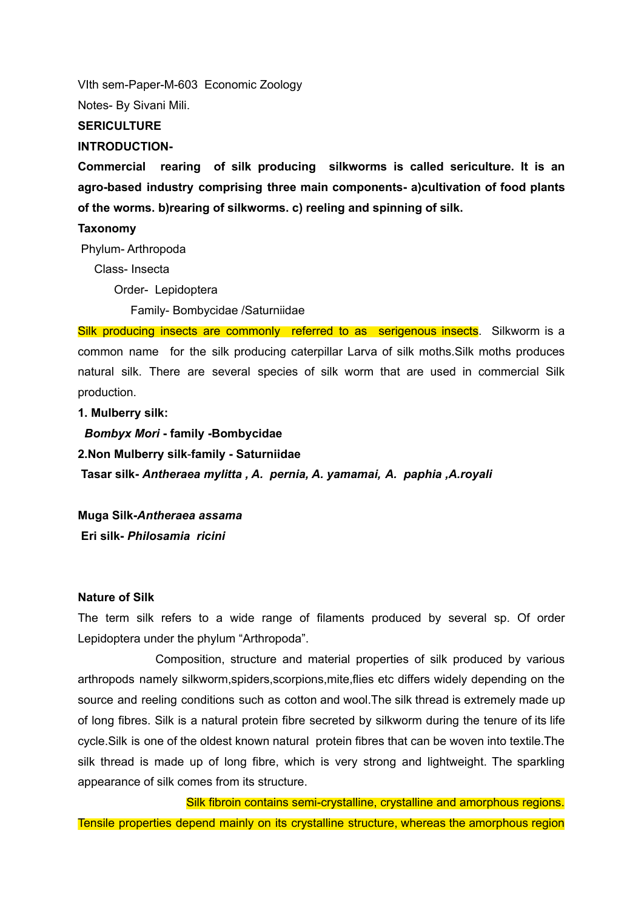VIth sem-Paper-M-603 Economic Zoology

Notes- By Sivani Mili.

## **SERICULTURE**

#### **INTRODUCTION-**

**Commercial rearing of silk producing silkworms is called sericulture. It is an agro-based industry comprising three main components- a)cultivation of food plants of the worms. b)rearing of silkworms. c) reeling and spinning of silk.**

## **Taxonomy**

Phylum- Arthropoda

Class- Insecta

Order- Lepidoptera

Family- Bombycidae /Saturniidae

Silk producing insects are commonly referred to as serigenous insects. Silkworm is a common name for the silk producing caterpillar Larva of silk moths.Silk moths produces natural silk. There are several species of silk worm that are used in commercial Silk production.

### **1. Mulberry silk:**

*Bombyx Mori* **- family -Bombycidae 2.Non Mulberry silk**-**family - Saturniidae Tasar silk-** *Antheraea mylitta , A. pernia, A. yamamai, A. paphia ,A.royali*

**Muga Silk-***Antheraea assama* **Eri silk-** *Philosamia ricini*

### **Nature of Silk**

The term silk refers to a wide range of filaments produced by several sp. Of order Lepidoptera under the phylum "Arthropoda".

Composition, structure and material properties of silk produced by various arthropods namely silkworm,spiders,scorpions,mite,flies etc differs widely depending on the source and reeling conditions such as cotton and wool.The silk thread is extremely made up of long fibres. Silk is a natural protein fibre secreted by silkworm during the tenure of its life cycle.Silk is one of the oldest known natural protein fibres that can be woven into textile.The silk thread is made up of long fibre, which is very strong and lightweight. The sparkling appearance of silk comes from its structure.

Silk fibroin contains semi-crystalline, crystalline and amorphous regions. Tensile properties depend mainly on its crystalline structure, whereas the amorphous region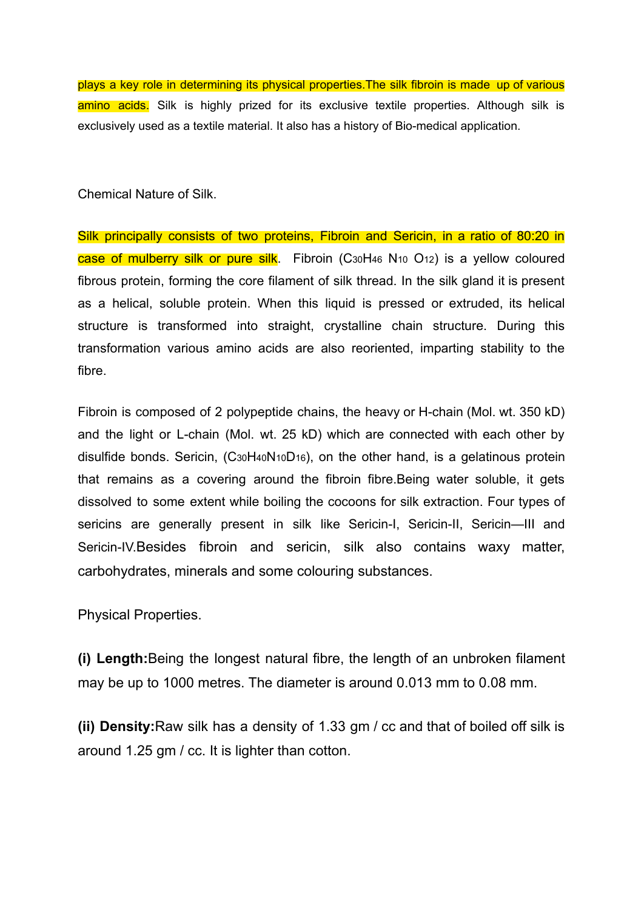plays a key role in determining its physical properties.The silk fibroin is made up of various amino acids. Silk is highly prized for its exclusive textile properties. Although silk is exclusively used as a textile material. It also has a history of Bio-medical application.

Chemical Nature of Silk.

Silk principally consists of two proteins, Fibroin and Sericin, in a ratio of 80:20 in case of mulberry silk or pure silk. Fibroin (C30H46 N10 O12) is a yellow coloured fibrous protein, forming the core filament of silk thread. In the silk gland it is present as a helical, soluble protein. When this liquid is pressed or extruded, its helical structure is transformed into straight, crystalline chain structure. During this transformation various amino acids are also reoriented, imparting stability to the fibre.

Fibroin is composed of 2 polypeptide chains, the heavy or H-chain (Mol. wt. 350 kD) and the light or L-chain (Mol. wt. 25 kD) which are connected with each other by disulfide bonds. Sericin, (C30H40N10D16), on the other hand, is a gelatinous protein that remains as a covering around the fibroin fibre.Being water soluble, it gets dissolved to some extent while boiling the cocoons for silk extraction. Four types of sericins are generally present in silk like Sericin-I, Sericin-II, Sericin-III and Sericin-IV.Besides fibroin and sericin, silk also contains waxy matter, carbohydrates, minerals and some colouring substances.

Physical Properties.

**(i) Length:**Being the longest natural fibre, the length of an unbroken filament may be up to 1000 metres. The diameter is around 0.013 mm to 0.08 mm.

**(ii) Density:**Raw silk has a density of 1.33 gm / cc and that of boiled off silk is around 1.25 gm / cc. It is lighter than cotton.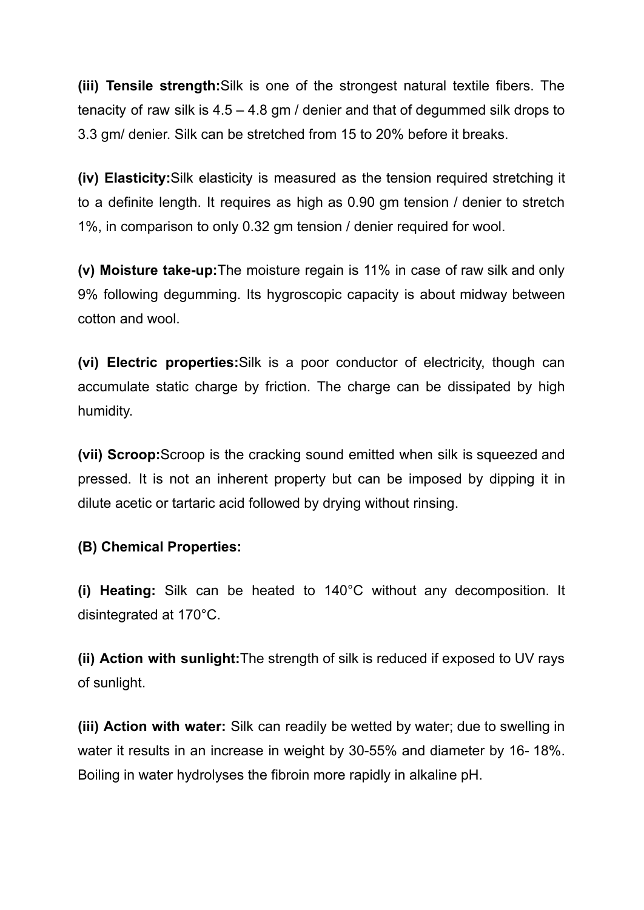**(iii) Tensile strength:**Silk is one of the strongest natural textile fibers. The tenacity of raw silk is 4.5 – 4.8 gm / denier and that of degummed silk drops to 3.3 gm/ denier. Silk can be stretched from 15 to 20% before it breaks.

**(iv) Elasticity:**Silk elasticity is measured as the tension required stretching it to a definite length. It requires as high as 0.90 gm tension / denier to stretch 1%, in comparison to only 0.32 gm tension / denier required for wool.

**(v) Moisture take-up:**The moisture regain is 11% in case of raw silk and only 9% following degumming. Its hygroscopic capacity is about midway between cotton and wool.

**(vi) Electric properties:**Silk is a poor conductor of electricity, though can accumulate static charge by friction. The charge can be dissipated by high humidity.

**(vii) Scroop:**Scroop is the cracking sound emitted when silk is squeezed and pressed. It is not an inherent property but can be imposed by dipping it in dilute acetic or tartaric acid followed by drying without rinsing.

# **(B) Chemical Properties:**

**(i) Heating:** Silk can be heated to 140°C without any decomposition. It disintegrated at 170°C.

**(ii) Action with sunlight:**The strength of silk is reduced if exposed to UV rays of sunlight.

**(iii) Action with water:** Silk can readily be wetted by water; due to swelling in water it results in an increase in weight by 30-55% and diameter by 16- 18%. Boiling in water hydrolyses the fibroin more rapidly in alkaline pH.